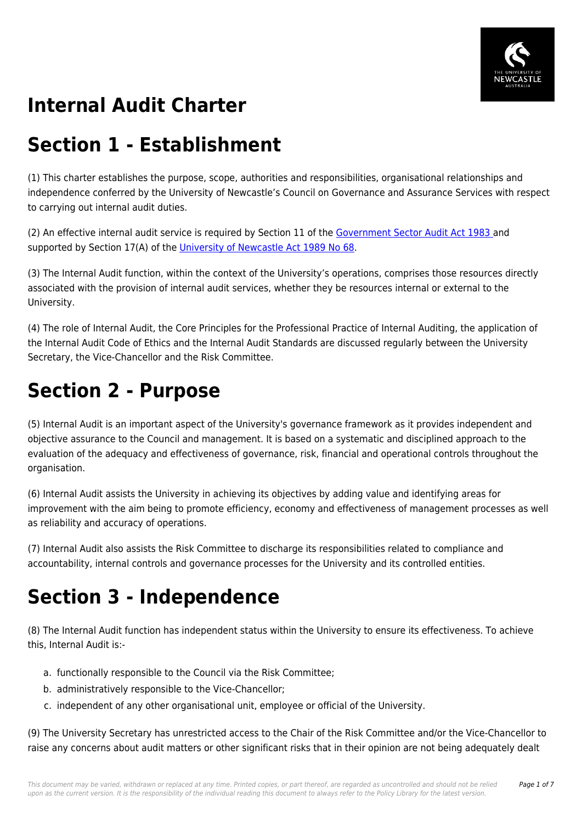

#### **Internal Audit Charter**

## **Section 1 - Establishment**

(1) This charter establishes the purpose, scope, authorities and responsibilities, organisational relationships and independence conferred by the University of Newcastle's Council on Governance and Assurance Services with respect to carrying out internal audit duties.

(2) An effective internal audit service is required by Section 11 of the [Government Sector Audit Act 1983](https://policies.newcastle.edu.au/directory-summary.php?legislation=43) and supported by Section 17(A) of the [University of Newcastle Act 1989 No 68.](https://policies.newcastle.edu.au/directory-summary.php?legislation=17)

(3) The Internal Audit function, within the context of the University's operations, comprises those resources directly associated with the provision of internal audit services, whether they be resources internal or external to the University.

(4) The role of Internal Audit, the Core Principles for the Professional Practice of Internal Auditing, the application of the Internal Audit Code of Ethics and the Internal Audit Standards are discussed regularly between the University Secretary, the Vice-Chancellor and the Risk Committee.

## **Section 2 - Purpose**

(5) Internal Audit is an important aspect of the University's governance framework as it provides independent and objective assurance to the Council and management. It is based on a systematic and disciplined approach to the evaluation of the adequacy and effectiveness of governance, risk, financial and operational controls throughout the organisation.

(6) Internal Audit assists the University in achieving its objectives by adding value and identifying areas for improvement with the aim being to promote efficiency, economy and effectiveness of management processes as well as reliability and accuracy of operations.

(7) Internal Audit also assists the Risk Committee to discharge its responsibilities related to compliance and accountability, internal controls and governance processes for the University and its controlled entities.

## **Section 3 - Independence**

(8) The Internal Audit function has independent status within the University to ensure its effectiveness. To achieve this, Internal Audit is:-

- a. functionally responsible to the Council via the Risk Committee;
- b. administratively responsible to the Vice-Chancellor;
- c. independent of any other organisational unit, employee or official of the University.

(9) The University Secretary has unrestricted access to the Chair of the Risk Committee and/or the Vice-Chancellor to raise any concerns about audit matters or other significant risks that in their opinion are not being adequately dealt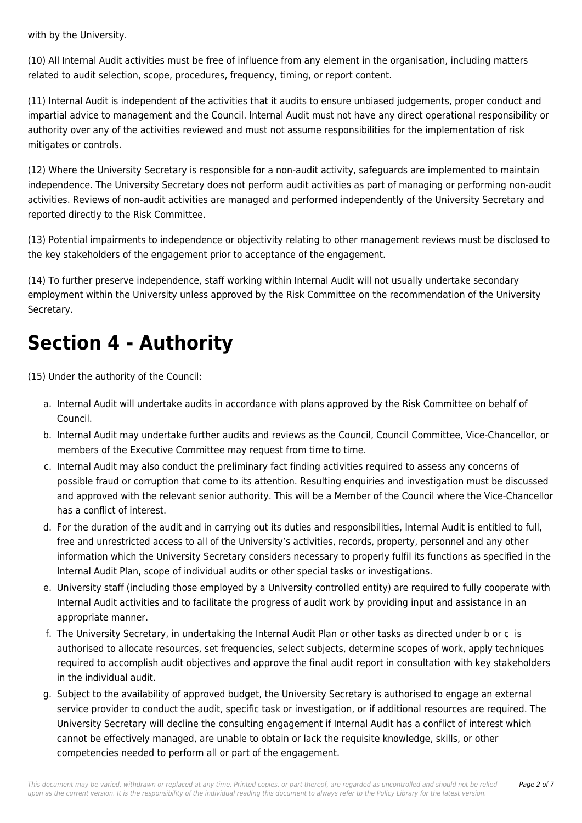with by the University.

(10) All Internal Audit activities must be free of influence from any element in the organisation, including matters related to audit selection, scope, procedures, frequency, timing, or report content.

(11) Internal Audit is independent of the activities that it audits to ensure unbiased judgements, proper conduct and impartial advice to management and the Council. Internal Audit must not have any direct operational responsibility or authority over any of the activities reviewed and must not assume responsibilities for the implementation of risk mitigates or controls.

(12) Where the University Secretary is responsible for a non-audit activity, safeguards are implemented to maintain independence. The University Secretary does not perform audit activities as part of managing or performing non-audit activities. Reviews of non-audit activities are managed and performed independently of the University Secretary and reported directly to the Risk Committee.

(13) Potential impairments to independence or objectivity relating to other management reviews must be disclosed to the key stakeholders of the engagement prior to acceptance of the engagement.

(14) To further preserve independence, staff working within Internal Audit will not usually undertake secondary employment within the University unless approved by the Risk Committee on the recommendation of the University Secretary.

## **Section 4 - Authority**

(15) Under the authority of the Council:

- a. Internal Audit will undertake audits in accordance with plans approved by the Risk Committee on behalf of Council.
- b. Internal Audit may undertake further audits and reviews as the Council, Council Committee, Vice-Chancellor, or members of the Executive Committee may request from time to time.
- c. Internal Audit may also conduct the preliminary fact finding activities required to assess any concerns of possible fraud or corruption that come to its attention. Resulting enquiries and investigation must be discussed and approved with the relevant senior authority. This will be a Member of the Council where the Vice-Chancellor has a conflict of interest.
- d. For the duration of the audit and in carrying out its duties and responsibilities, Internal Audit is entitled to full, free and unrestricted access to all of the University's activities, records, property, personnel and any other information which the University Secretary considers necessary to properly fulfil its functions as specified in the Internal Audit Plan, scope of individual audits or other special tasks or investigations.
- e. University staff (including those employed by a University controlled entity) are required to fully cooperate with Internal Audit activities and to facilitate the progress of audit work by providing input and assistance in an appropriate manner.
- f. The University Secretary, in undertaking the Internal Audit Plan or other tasks as directed under b or c is authorised to allocate resources, set frequencies, select subjects, determine scopes of work, apply techniques required to accomplish audit objectives and approve the final audit report in consultation with key stakeholders in the individual audit.
- g. Subject to the availability of approved budget, the University Secretary is authorised to engage an external service provider to conduct the audit, specific task or investigation, or if additional resources are required. The University Secretary will decline the consulting engagement if Internal Audit has a conflict of interest which cannot be effectively managed, are unable to obtain or lack the requisite knowledge, skills, or other competencies needed to perform all or part of the engagement.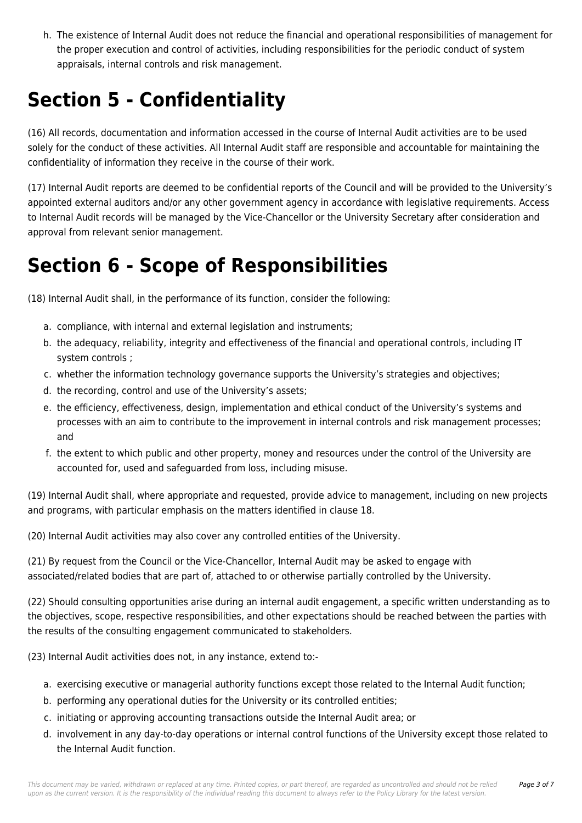h. The existence of Internal Audit does not reduce the financial and operational responsibilities of management for the proper execution and control of activities, including responsibilities for the periodic conduct of system appraisals, internal controls and risk management.

## **Section 5 - Confidentiality**

(16) All records, documentation and information accessed in the course of Internal Audit activities are to be used solely for the conduct of these activities. All Internal Audit staff are responsible and accountable for maintaining the confidentiality of information they receive in the course of their work.

(17) Internal Audit reports are deemed to be confidential reports of the Council and will be provided to the University's appointed external auditors and/or any other government agency in accordance with legislative requirements. Access to Internal Audit records will be managed by the Vice-Chancellor or the University Secretary after consideration and approval from relevant senior management.

## **Section 6 - Scope of Responsibilities**

(18) Internal Audit shall, in the performance of its function, consider the following:

- a. compliance, with internal and external legislation and instruments;
- b. the adequacy, reliability, integrity and effectiveness of the financial and operational controls, including IT system controls ;
- c. whether the information technology governance supports the University's strategies and objectives;
- d. the recording, control and use of the University's assets;
- e. the efficiency, effectiveness, design, implementation and ethical conduct of the University's systems and processes with an aim to contribute to the improvement in internal controls and risk management processes; and
- f. the extent to which public and other property, money and resources under the control of the University are accounted for, used and safeguarded from loss, including misuse.

(19) Internal Audit shall, where appropriate and requested, provide advice to management, including on new projects and programs, with particular emphasis on the matters identified in clause 18.

(20) Internal Audit activities may also cover any controlled entities of the University.

(21) By request from the Council or the Vice-Chancellor, Internal Audit may be asked to engage with associated/related bodies that are part of, attached to or otherwise partially controlled by the University.

(22) Should consulting opportunities arise during an internal audit engagement, a specific written understanding as to the objectives, scope, respective responsibilities, and other expectations should be reached between the parties with the results of the consulting engagement communicated to stakeholders.

(23) Internal Audit activities does not, in any instance, extend to:-

- a. exercising executive or managerial authority functions except those related to the Internal Audit function;
- b. performing any operational duties for the University or its controlled entities;
- c. initiating or approving accounting transactions outside the Internal Audit area; or
- d. involvement in any day-to-day operations or internal control functions of the University except those related to the Internal Audit function.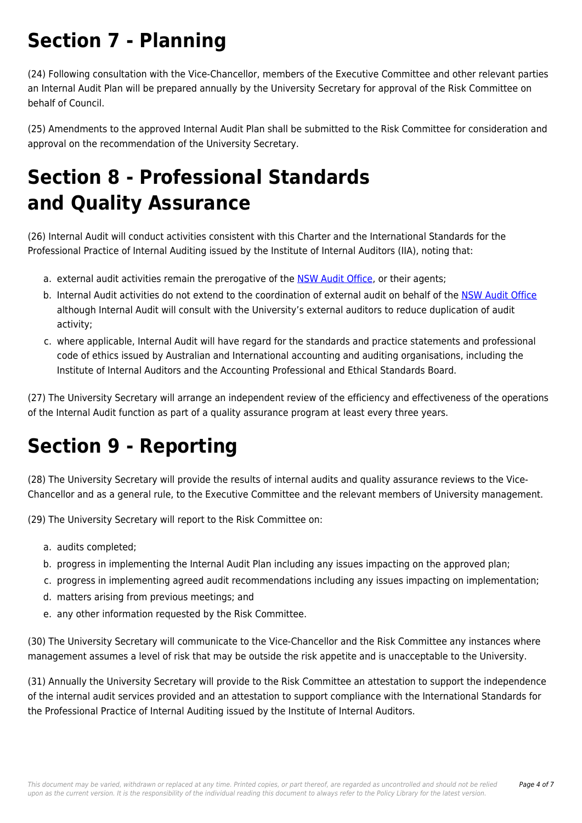## **Section 7 - Planning**

(24) Following consultation with the Vice-Chancellor, members of the Executive Committee and other relevant parties an Internal Audit Plan will be prepared annually by the University Secretary for approval of the Risk Committee on behalf of Council.

(25) Amendments to the approved Internal Audit Plan shall be submitted to the Risk Committee for consideration and approval on the recommendation of the University Secretary.

## **Section 8 - Professional Standards and Quality Assurance**

(26) Internal Audit will conduct activities consistent with this Charter and the International Standards for the Professional Practice of Internal Auditing issued by the Institute of Internal Auditors (IIA), noting that:

- a. external audit activities remain the prerogative of the [NSW Audit Office](https://policies.newcastle.edu.au/download.php?id=171&version=2&associated), or their agents;
- b. Internal Audit activities do not extend to the coordination of external audit on behalf of the [NSW Audit Office](https://policies.newcastle.edu.au/download.php?id=171&version=2&associated) although Internal Audit will consult with the University's external auditors to reduce duplication of audit activity;
- c. where applicable, Internal Audit will have regard for the standards and practice statements and professional code of ethics issued by Australian and International accounting and auditing organisations, including the Institute of Internal Auditors and the Accounting Professional and Ethical Standards Board.

(27) The University Secretary will arrange an independent review of the efficiency and effectiveness of the operations of the Internal Audit function as part of a quality assurance program at least every three years.

# **Section 9 - Reporting**

(28) The University Secretary will provide the results of internal audits and quality assurance reviews to the Vice-Chancellor and as a general rule, to the Executive Committee and the relevant members of University management.

(29) The University Secretary will report to the Risk Committee on:

- a. audits completed;
- b. progress in implementing the Internal Audit Plan including any issues impacting on the approved plan;
- c. progress in implementing agreed audit recommendations including any issues impacting on implementation;
- d. matters arising from previous meetings; and
- e. any other information requested by the Risk Committee.

(30) The University Secretary will communicate to the Vice-Chancellor and the Risk Committee any instances where management assumes a level of risk that may be outside the risk appetite and is unacceptable to the University.

(31) Annually the University Secretary will provide to the Risk Committee an attestation to support the independence of the internal audit services provided and an attestation to support compliance with the International Standards for the Professional Practice of Internal Auditing issued by the Institute of Internal Auditors.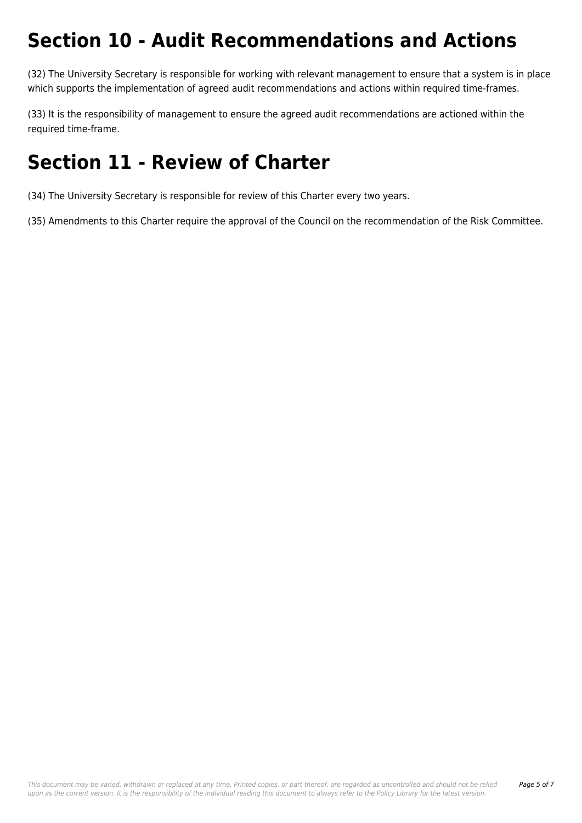#### **Section 10 - Audit Recommendations and Actions**

(32) The University Secretary is responsible for working with relevant management to ensure that a system is in place which supports the implementation of agreed audit recommendations and actions within required time-frames.

(33) It is the responsibility of management to ensure the agreed audit recommendations are actioned within the required time-frame.

#### **Section 11 - Review of Charter**

(34) The University Secretary is responsible for review of this Charter every two years.

(35) Amendments to this Charter require the approval of the Council on the recommendation of the Risk Committee.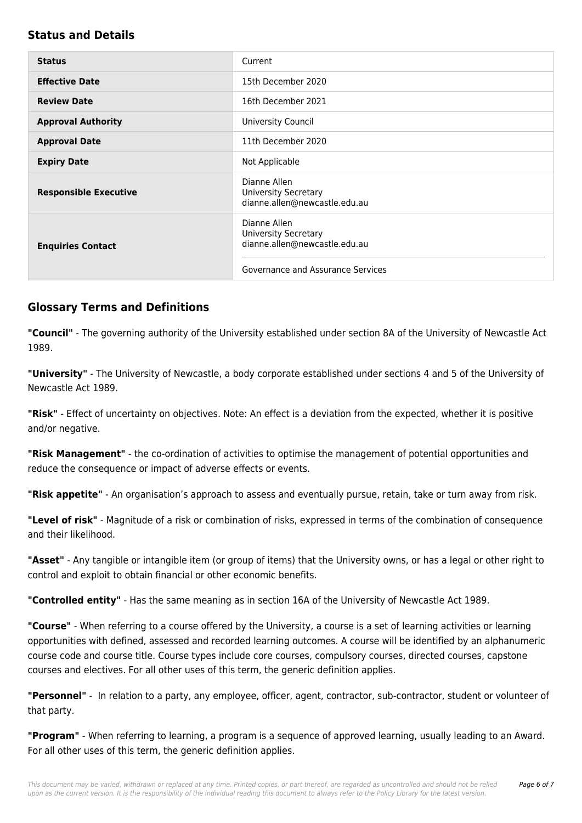#### **Status and Details**

| <b>Status</b>                | Current                                                                                                           |
|------------------------------|-------------------------------------------------------------------------------------------------------------------|
| <b>Effective Date</b>        | 15th December 2020                                                                                                |
| <b>Review Date</b>           | 16th December 2021                                                                                                |
| <b>Approval Authority</b>    | University Council                                                                                                |
| <b>Approval Date</b>         | 11th December 2020                                                                                                |
| <b>Expiry Date</b>           | Not Applicable                                                                                                    |
| <b>Responsible Executive</b> | Dianne Allen<br><b>University Secretary</b><br>dianne.allen@newcastle.edu.au                                      |
| <b>Enquiries Contact</b>     | Dianne Allen<br><b>University Secretary</b><br>dianne.allen@newcastle.edu.au<br>Governance and Assurance Services |

#### **Glossary Terms and Definitions**

**"Council"** - The governing authority of the University established under section 8A of the University of Newcastle Act 1989.

**"University"** - The University of Newcastle, a body corporate established under sections 4 and 5 of the University of Newcastle Act 1989.

**"Risk"** - Effect of uncertainty on objectives. Note: An effect is a deviation from the expected, whether it is positive and/or negative.

**"Risk Management"** - the co-ordination of activities to optimise the management of potential opportunities and reduce the consequence or impact of adverse effects or events.

**"Risk appetite"** - An organisation's approach to assess and eventually pursue, retain, take or turn away from risk.

**"Level of risk"** - Magnitude of a risk or combination of risks, expressed in terms of the combination of consequence and their likelihood.

**"Asset"** - Any tangible or intangible item (or group of items) that the University owns, or has a legal or other right to control and exploit to obtain financial or other economic benefits.

**"Controlled entity"** - Has the same meaning as in section 16A of the University of Newcastle Act 1989.

**"Course"** - When referring to a course offered by the University, a course is a set of learning activities or learning opportunities with defined, assessed and recorded learning outcomes. A course will be identified by an alphanumeric course code and course title. Course types include core courses, compulsory courses, directed courses, capstone courses and electives. For all other uses of this term, the generic definition applies.

**"Personnel"** - In relation to a party, any employee, officer, agent, contractor, sub-contractor, student or volunteer of that party.

**"Program"** - When referring to learning, a program is a sequence of approved learning, usually leading to an Award. For all other uses of this term, the generic definition applies.